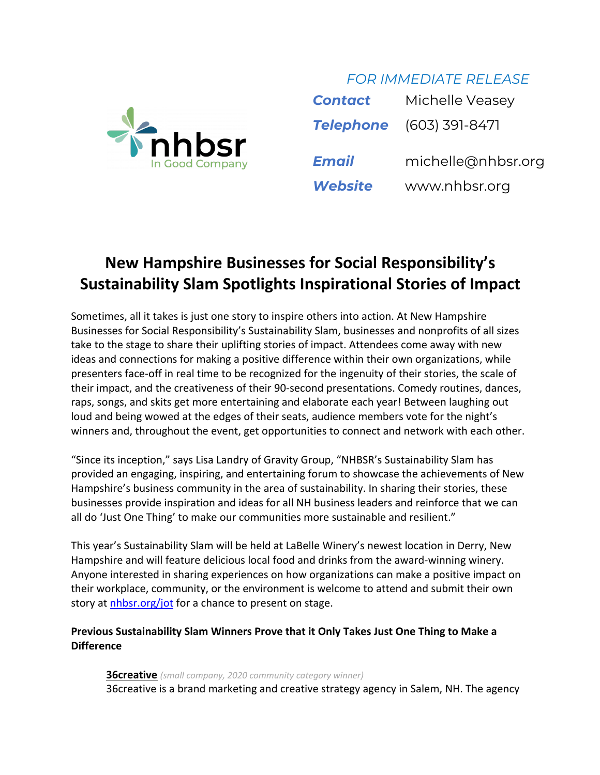## *FOR IMMEDIATE RELEASE*



| <b>Contact</b> | Michelle Veasey                 |
|----------------|---------------------------------|
|                | <b>Telephone</b> (603) 391-8471 |
| <b>Email</b>   | michelle@nhbsr.org              |
| <b>Website</b> | www.nhbsr.org                   |

# **New Hampshire Businesses for Social Responsibility's Sustainability Slam Spotlights Inspirational Stories of Impact**

Sometimes, all it takes is just one story to inspire others into action. At New Hampshire Businesses for Social Responsibility's Sustainability Slam, businesses and nonprofits of all sizes take to the stage to share their uplifting stories of impact. Attendees come away with new ideas and connections for making a positive difference within their own organizations, while presenters face-off in real time to be recognized for the ingenuity of their stories, the scale of their impact, and the creativeness of their 90-second presentations. Comedy routines, dances, raps, songs, and skits get more entertaining and elaborate each year! Between laughing out loud and being wowed at the edges of their seats, audience members vote for the night's winners and, throughout the event, get opportunities to connect and network with each other.

"Since its inception," says Lisa Landry of Gravity Group, "NHBSR's Sustainability Slam has provided an engaging, inspiring, and entertaining forum to showcase the achievements of New Hampshire's business community in the area of sustainability. In sharing their stories, these businesses provide inspiration and ideas for all NH business leaders and reinforce that we can all do 'Just One Thing' to make our communities more sustainable and resilient."

This year's Sustainability Slam will be held at LaBelle Winery's newest location in Derry, New Hampshire and will feature delicious local food and drinks from the award-winning winery. Anyone interested in sharing experiences on how organizations can make a positive impact on their workplace, community, or the environment is welcome to attend and submit their own story at nhbsr.org/jot for a chance to present on stage.

## **Previous Sustainability Slam Winners Prove that it Only Takes Just One Thing to Make a Difference**

#### **36creative** *(small company, 2020 community category winner)*

36creative is a brand marketing and creative strategy agency in Salem, NH. The agency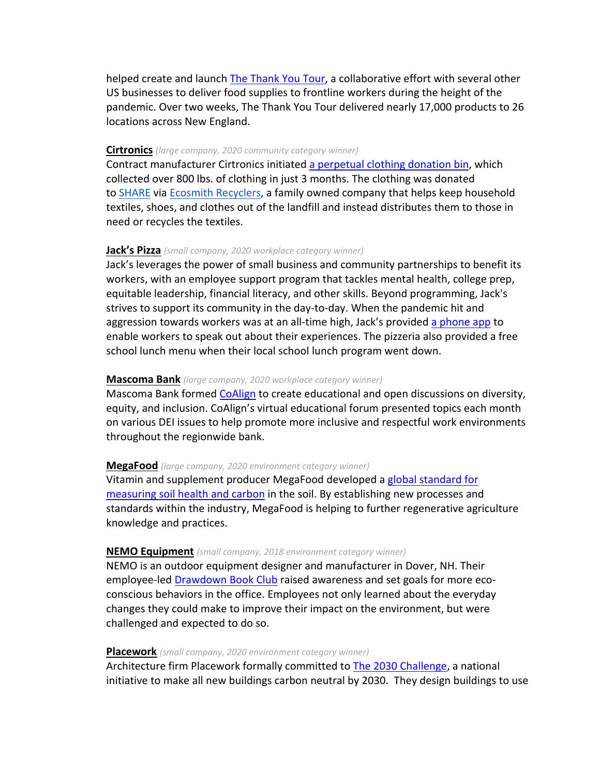helped create and launch The Thank You Tour, a collaborative effort with several other US businesses to deliver food supplies to frontline workers during the height of the pandemic. Over two weeks, The Thank You Tour delivered nearly 17,000 products to 26 locations across New England.

#### **Cirtronics** *(large company, 2020 community category winner)*

Contract manufacturer Cirtronics initiated a perpetual clothing donation bin, which collected over 800 lbs. of clothing in just 3 months. The clothing was donated to SHARE via Ecosmith Recyclers, a family owned company that helps keep household textiles, shoes, and clothes out of the landfill and instead distributes them to those in need or recycles the textiles.

#### **Jack's Pizza** *(small company, 2020 workplace category winner)*

Jack's leverages the power of small business and community partnerships to benefit its workers, with an employee support program that tackles mental health, college prep, equitable leadership, financial literacy, and other skills. Beyond programming, Jack's strives to support its community in the day-to-day. When the pandemic hit and aggression towards workers was at an all-time high, Jack's provided a phone app to enable workers to speak out about their experiences. The pizzeria also provided a free school lunch menu when their local school lunch program went down.

#### **Mascoma Bank** *(large company, 2020 workplace category winner)*

Mascoma Bank formed CoAlign to create educational and open discussions on diversity, equity, and inclusion. CoAlign's virtual educational forum presented topics each month on various DEI issues to help promote more inclusive and respectful work environments throughout the regionwide bank.

#### **MegaFood** *(large company, 2020 environment category winner)*

Vitamin and supplement producer MegaFood developed a global standard for measuring soil health and carbon in the soil. By establishing new processes and standards within the industry, MegaFood is helping to further regenerative agriculture knowledge and practices.

#### **NEMO Equipment** *(small company, 2018 environment category winner)*

NEMO is an outdoor equipment designer and manufacturer in Dover, NH. Their employee-led Drawdown Book Club raised awareness and set goals for more ecoconscious behaviors in the office. Employees not only learned about the everyday changes they could make to improve their impact on the environment, but were challenged and expected to do so.

#### **Placework** *(small company, 2020 environment category winner)*

Architecture firm Placework formally committed to The 2030 Challenge, a national initiative to make all new buildings carbon neutral by 2030. They design buildings to use